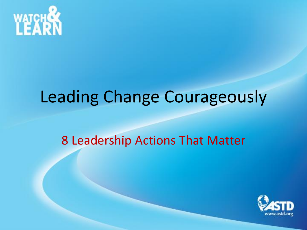

### Leading Change Courageously

#### 8 Leadership Actions That Matter

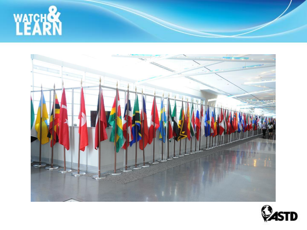



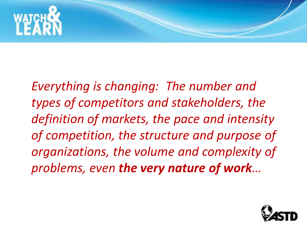

*Everything is changing: The number and types of competitors and stakeholders, the definition of markets, the pace and intensity of competition, the structure and purpose of organizations, the volume and complexity of problems, even the very nature of work…*

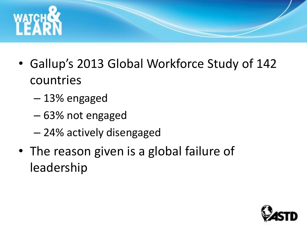

- Gallup's 2013 Global Workforce Study of 142 countries
	- 13% engaged
	- 63% not engaged
	- 24% actively disengaged
- The reason given is a global failure of leadership

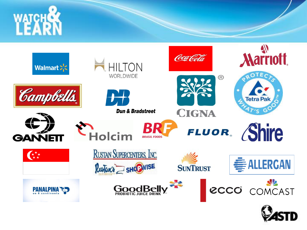



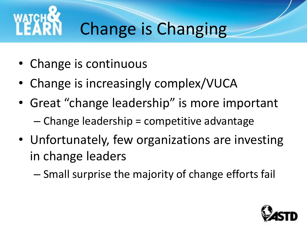

## Change is Changing

- Change is continuous
- Change is increasingly complex/VUCA
- Great "change leadership" is more important – Change leadership = competitive advantage
- Unfortunately, few organizations are investing in change leaders
	- Small surprise the majority of change efforts fail

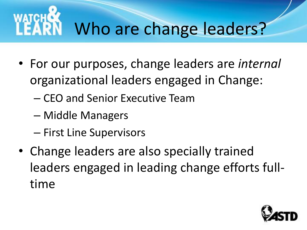# Who are change leaders?

- For our purposes, change leaders are *internal* organizational leaders engaged in Change:
	- CEO and Senior Executive Team
	- Middle Managers
	- First Line Supervisors
- Change leaders are also specially trained leaders engaged in leading change efforts fulltime

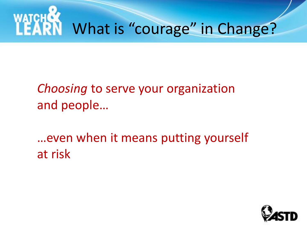

*Choosing* to serve your organization and people…

…even when it means putting yourself at risk

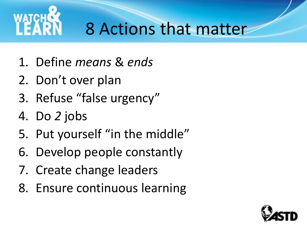

### 8 Actions that matter

- 1. Define *means* & *ends*
- 2. Don't over plan
- 3. Refuse "false urgency"
- 4. Do *2* jobs
- 5. Put yourself "in the middle"
- 6. Develop people constantly
- 7. Create change leaders
- 8. Ensure continuous learning

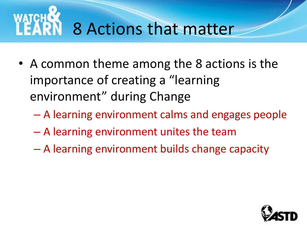## 8 Actions that matter

- A common theme among the 8 actions is the importance of creating a "learning environment" during Change
	- A learning environment calms and engages people
	- A learning environment unites the team
	- A learning environment builds change capacity

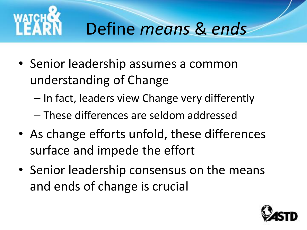

## Define *means* & *ends*

- Senior leadership assumes a common understanding of Change
	- In fact, leaders view Change very differently
	- These differences are seldom addressed
- As change efforts unfold, these differences surface and impede the effort
- Senior leadership consensus on the means and ends of change is crucial

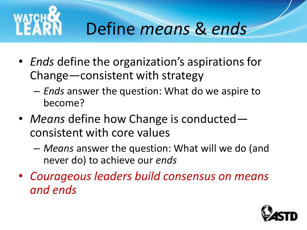

### Define *means* & *ends*

- *Ends* define the organization's aspirations for Change—consistent with strategy
	- *Ends* answer the question: What do we aspire to become?
- *Means* define how Change is conducted consistent with core values
	- *Means* answer the question: What will we do (and never do) to achieve our *ends*
- *Courageous leaders build consensus on means and ends*

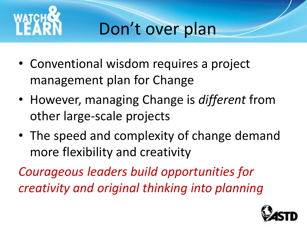

## Don't over plan

- Conventional wisdom requires a project management plan for Change
- However, managing Change is *different* from other large-scale projects
- The speed and complexity of change demand more flexibility and creativity

*Courageous leaders build opportunities for creativity and original thinking into planning*

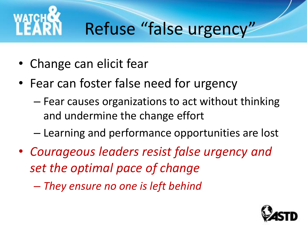

## Refuse "false urgency"

- Change can elicit fear
- Fear can foster false need for urgency
	- Fear causes organizations to act without thinking and undermine the change effort
	- Learning and performance opportunities are lost
- *Courageous leaders resist false urgency and set the optimal pace of change*
	- *They ensure no one is left behind*

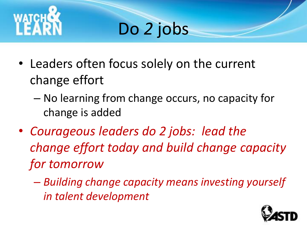

## Do *2* jobs

- Leaders often focus solely on the current change effort
	- No learning from change occurs, no capacity for change is added
- *Courageous leaders do 2 jobs: lead the change effort today and build change capacity for tomorrow*
	- *Building change capacity means investing yourself in talent development*

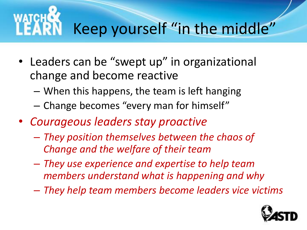# Keep yourself "in the middle"

- Leaders can be "swept up" in organizational change and become reactive
	- When this happens, the team is left hanging
	- Change becomes "every man for himself"
- *Courageous leaders stay proactive*
	- *They position themselves between the chaos of Change and the welfare of their team*
	- *They use experience and expertise to help team members understand what is happening and why*
	- *They help team members become leaders vice victims*

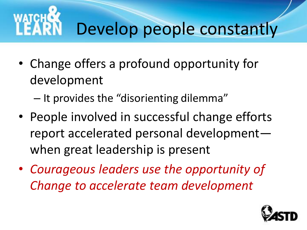# Develop people constantly

- Change offers a profound opportunity for development
	- It provides the "disorienting dilemma"
- People involved in successful change efforts report accelerated personal development when great leadership is present
- *Courageous leaders use the opportunity of Change to accelerate team development*

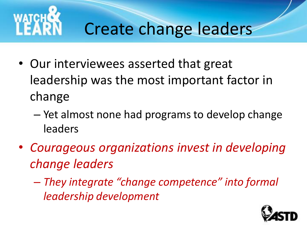

### Create change leaders

- Our interviewees asserted that great leadership was the most important factor in change
	- Yet almost none had programs to develop change leaders
- *Courageous organizations invest in developing change leaders*
	- *They integrate "change competence" into formal leadership development*

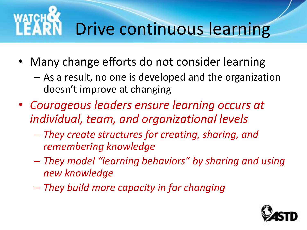# Drive continuous learning

- Many change efforts do not consider learning
	- As a result, no one is developed and the organization doesn't improve at changing
- *Courageous leaders ensure learning occurs at individual, team, and organizational levels*
	- *They create structures for creating, sharing, and remembering knowledge*
	- *They model "learning behaviors" by sharing and using new knowledge*
	- *They build more capacity in for changing*

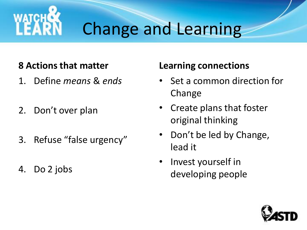

### Change and Learning

#### **8 Actions that matter**

- 1. Define *means* & *ends*
- 2. Don't over plan
- 3. Refuse "false urgency"
- 4. Do 2 jobs

#### **Learning connections**

- Set a common direction for Change
- Create plans that foster original thinking
- Don't be led by Change, lead it
- Invest yourself in developing people

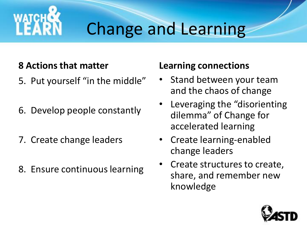

### Change and Learning

#### **8 Actions that matter**

- 5. Put yourself "in the middle"
- 6. Develop people constantly
- 7. Create change leaders
- 8. Ensure continuous learning

#### **Learning connections**

- Stand between your team and the chaos of change
- Leveraging the "disorienting dilemma" of Change for accelerated learning
- Create learning-enabled change leaders
- Create structures to create, share, and remember new knowledge

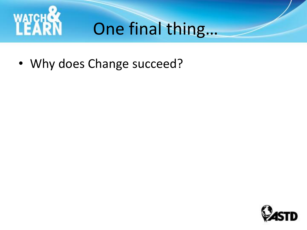

## One final thing…

• Why does Change succeed?

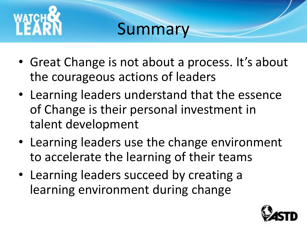

### Summary

- Great Change is not about a process. It's about the courageous actions of leaders
- Learning leaders understand that the essence of Change is their personal investment in talent development
- Learning leaders use the change environment to accelerate the learning of their teams
- Learning leaders succeed by creating a learning environment during change

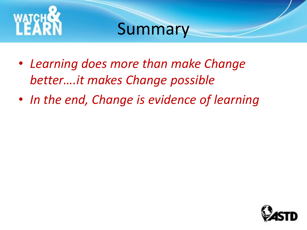

### Summary

- *Learning does more than make Change better….it makes Change possible*
- *In the end, Change is evidence of learning*

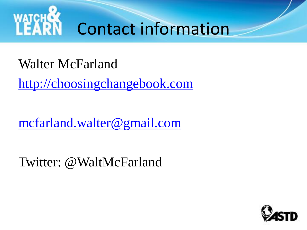

### Walter McFarland

[http://choosingchangebook.com](http://choosingchangebook.com/)

[mcfarland.walter@gmail.com](mailto:mcfarland.walter@gmail.com)

Twitter: @WaltMcFarland